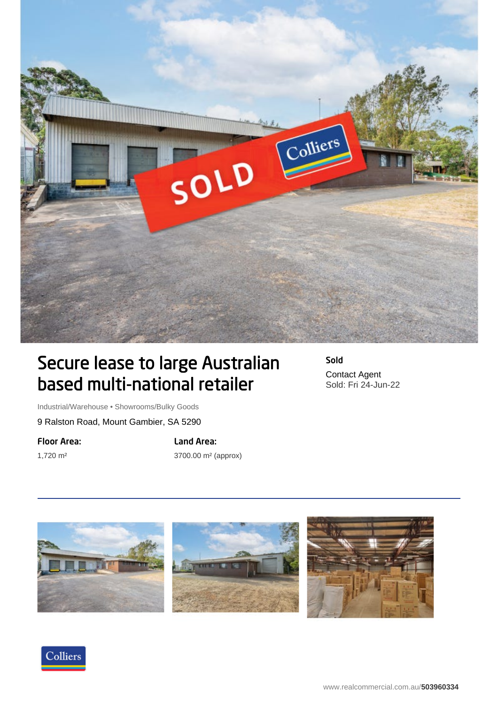

## Secure lease to large Australian based multi-national retailer

Sold Contact Agent Sold: Fri 24-Jun-22

Industrial/Warehouse • Showrooms/Bulky Goods

9 Ralston Road, Mount Gambier, SA 5290

Floor Area: 1,720 m²

Land Area:

3700.00 m² (approx)